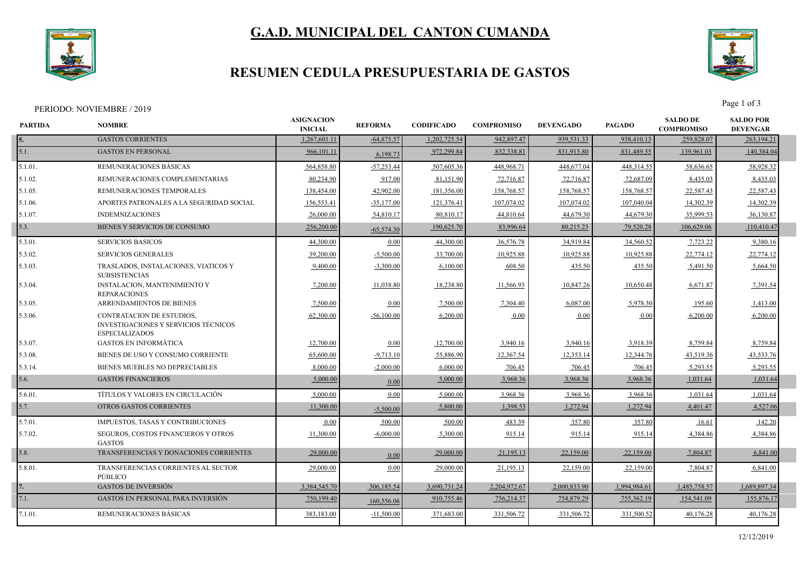

## **G.A.D. MUNICIPAL DEL CANTON CUMANDA**

## **RESUMEN CEDULA PRESUPUESTARIA DE GASTOS**



PERIODO: NOVIEMBRE / 2019<br>Page 1 of 3

| PARTIDA    | <b>NOMBRE</b>                                                                                     | <b>ASIGNACION</b><br><b>INICIAL</b> | <b>REFORMA</b> | <b>CODIFICADO</b> | <b>COMPROMISO</b> | <b>DEVENGADO</b> | <b>PAGADO</b> | <b>SALDO DE</b><br><b>COMPROMISO</b> | <b>SALDO POR</b><br><b>DEVENGAR</b> |  |
|------------|---------------------------------------------------------------------------------------------------|-------------------------------------|----------------|-------------------|-------------------|------------------|---------------|--------------------------------------|-------------------------------------|--|
| 5.         | <b>GASTOS CORRIENTES</b>                                                                          | 1,267,601.11                        | $-64,875.57$   | 1,202,725.54      | 942,897.47        | 939,531.33       | 938,410.13    | 259,828.07                           | 263,194.21                          |  |
| 5.1.       | <b>GASTOS EN PERSONAL</b>                                                                         | 966,101.11                          | 6,198.73       | 972,299.84        | 832,338.81        | 831,915.80       | 831,489.55    | 139,961.03                           | 140,384.04                          |  |
| 5.1.01.    | REMUNERACIONES BÁSICAS                                                                            | 564,858.80                          | $-57,253.44$   | 507,605.36        | 448,968.71        | 448,677.04       | 448,314.55    | 58,636.65                            | 58,928.32                           |  |
| 5.1.02.    | REMUNERACIONES COMPLEMENTARIAS                                                                    | 80,234.90                           | 917.00         | 81,151.90         | 72,716.87         | 72,716.87        | 72,687.09     | 8,435.03                             | 8,435.03                            |  |
| $5.1.05$ . | REMUNERACIONES TEMPORALES                                                                         | 138,454.00                          | 42,902.00      | 181.356.00        | 158,768.57        | 158,768.57       | 158.768.5     | 22.587.43                            | 22,587.43                           |  |
| 5.1.06.    | APORTES PATRONALES A LA SEGURIDAD SOCIAL                                                          | 156,553.41                          | $-35,177.00$   | 121,376.41        | 107,074.02        | 107,074.02       | 107,040.04    | 14,302.39                            | 14,302.39                           |  |
| 5.1.07.    | <b>INDEMNIZACIONES</b>                                                                            | 26,000.00                           | 54,810.17      | 80,810.17         | 44,810.64         | 44,679.30        | 44,679.30     | 35,999.53                            | 36,130.87                           |  |
| 5.3.       | BIENES Y SERVICIOS DE CONSUMO                                                                     | 256,200.00                          | $-65.574.30$   | 190,625.70        | 83,996.64         | 80,215.23        | 79,520.28     | 106,629.06                           | 110,410.47                          |  |
| 5.3.01.    | <b>SERVICIOS BASICOS</b>                                                                          | 44,300.00                           | 0.00           | 44,300.00         | 36,576.78         | 34,919.84        | 34,560.52     | 7,723.22                             | 9,380.16                            |  |
| 5.3.02.    | <b>SERVICIOS GENERALES</b>                                                                        | 39,200.00                           | $-5,500.00$    | 33,700.00         | 10,925.88         | 10,925.88        | 10,925.88     | 22,774.12                            | 22,774.12                           |  |
| 5.3.03.    | TRASLADOS, INSTALACIONES, VIATICOS Y<br><b>SUBSISTENCIAS</b>                                      | 9,400.00                            | $-3,300.00$    | 6,100.00          | 608.50            | 435.50           | 435.50        | 5,491.50                             | 5,664.50                            |  |
| 5.3.04.    | <b>INSTALACION, MANTENIMIENTO Y</b><br><b>REPARACIONES</b>                                        | 7,200.00                            | 11,038.80      | 18,238.80         | 11,566.93         | 10,847.26        | 10,650.48     | 6,671.87                             | 7,391.54                            |  |
| 5.3.05     | <b>ARRENDAMIENTOS DE BIENES</b>                                                                   | 7,500.00                            | 0.00           | 7.500.00          | 7,304.40          | 6.087.00         | 5,978.30      | 195.60                               | 1,413.00                            |  |
| 5.3.06.    | <b>CONTRATACION DE ESTUDIOS.</b><br>INVESTIGACIONES Y SERVICIOS TÉCNICOS<br><b>ESPECIALIZADOS</b> | 62,300.00                           | $-56,100.00$   | 6,200.00          | 0.00              | 0.00             | 0.00          | 6,200.00                             | 6,200.00                            |  |
| 5.3.07.    | <b>GASTOS EN INFORMÁTICA</b>                                                                      | 12,700.00                           | 0.00           | 12,700.00         | 3,940.16          | 3,940.16         | 3,918.39      | 8,759.84                             | 8,759.84                            |  |
| 5.3.08.    | BIENES DE USO Y CONSUMO CORRIENTE                                                                 | 65,600.00                           | $-9,713.10$    | 55,886.90         | 12,367.54         | 12,353.14        | 12,344.76     | 43,519.36                            | 43,533.76                           |  |
| 5.3.14.    | BIENES MUEBLES NO DEPRECIABLES                                                                    | 8,000.00                            | $-2,000.00$    | 6,000.00          | 706.45            | 706.45           | 706.45        | 5,293.55                             | 5,293.55                            |  |
| 5.6.       | <b>GASTOS FINANCIEROS</b>                                                                         | 5,000.00                            | 0.00           | 5,000.00          | 3,968.36          | 3,968.36         | 3,968.36      | 1,031.64                             | 1,031.64                            |  |
| 5.6.01.    | TÍTULOS Y VALORES EN CIRCULACIÓN                                                                  | 5,000.00                            | 0.00           | 5,000.00          | 3,968.36          | 3,968.36         | 3,968.3       | 1,031.64                             | 1,031.64                            |  |
| 5.7.       | <b>OTROS GASTOS CORRIENTES</b>                                                                    | 11,300.00                           | $-5,500.00$    | 5,800.00          | 1,398.53          | 1,272.94         | 1,272.94      | 4,401.47                             | 4,527.06                            |  |
| 5.7.01.    | IMPUESTOS, TASAS Y CONTRIBUCIONES                                                                 | 0.00                                | 500.00         | 500.00            | 483.39            | 357.80           | 357.80        | 16.61                                | 142.20                              |  |
| 5.7.02.    | <b>SEGUROS, COSTOS FINANCIEROS Y OTROS</b><br><b>GASTOS</b>                                       | 11,300.00                           | $-6,000.00$    | 5,300.00          | 915.14            | 915.14           | 915.14        | 4,384.86                             | 4,384.86                            |  |
| 5.8.       | TRANSFERENCIAS Y DONACIONES CORRIENTES                                                            | 29,000.00                           | 0.00           | 29,000.00         | 21,195.13         | 22,159.00        | 22,159.00     | 7,804.87                             | 6,841.00                            |  |
| 5.8.01.    | TRANSFERENCIAS CORRIENTES AL SECTOR<br>PÚBLICO                                                    | 29,000.00                           | 0.00           | 29,000.00         | 21,195.13         | 22,159.00        | 22,159.00     | 7,804.87                             | 6,841.00                            |  |
|            | <b>GASTOS DE INVERSIÓN</b>                                                                        | 3,384,545.70                        | 306,185.54     | 3,690,731.24      | 2,204,972.67      | 2.000.833.90     | 1,994,984.61  | 1,485,758.57                         | 1,689,897.34                        |  |
| 7.1.       | <b>GASTOS EN PERSONAL PARA INVERSIÓN</b>                                                          | 750,199.40                          | 160,556.06     | 910,755.46        | 756,214.37        | 754,879.29       | 755,362.19    | 154,541.09                           | 155,876.17                          |  |
| 7.1.01.    | REMUNERACIONES BÁSICAS                                                                            | 383,183.00                          | $-11,500.00$   | 371,683.00        | 331,506.72        | 331,506.72       | 331,500.52    | 40,176.28                            | 40,176.28                           |  |
|            |                                                                                                   |                                     |                |                   |                   |                  |               |                                      |                                     |  |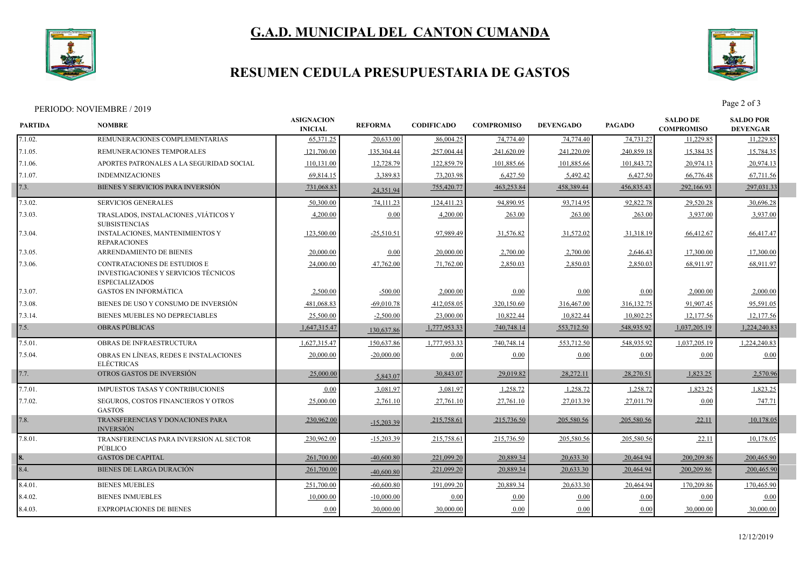



# **RESUMEN CEDULA PRESUPUESTARIA DE GASTOS**



PERIODO: NOVIEMBRE / 2019<br>Page 2 of 3

| <b>PARTIDA</b> | <b>NOMBRE</b>                                                                                        | <b>ASIGNACION</b><br><b>INICIAL</b> | <b>REFORMA</b> | <b>CODIFICADO</b> | <b>COMPROMISO</b> | <b>DEVENGADO</b> | <b>PAGADO</b> | <b>SALDO DE</b><br><b>COMPROMISO</b> | <b>SALDO POR</b><br><b>DEVENGAR</b> |  |
|----------------|------------------------------------------------------------------------------------------------------|-------------------------------------|----------------|-------------------|-------------------|------------------|---------------|--------------------------------------|-------------------------------------|--|
| 7.1.02.        | REMUNERACIONES COMPLEMENTARIAS                                                                       | 65.371.25                           | 20,633.00      | 86,004.25         | 74,774.40         | 74,774.40        | 74,731.27     | 11,229.85                            | 11,229.85                           |  |
| 7.1.05.        | REMUNERACIONES TEMPORALES                                                                            | 121,700.00                          | 135,304.44     | 257,004.44        | 241,620.09        | 241,220.09       | 240,859.18    | 15,384.35                            | 15,784.35                           |  |
| 7.1.06.        | APORTES PATRONALES A LA SEGURIDAD SOCIAL                                                             | 110,131.00                          | 12,728.79      | 122,859.79        | 101,885.66        | 101,885.66       | 101,843.72    | 20,974.13                            | 20,974.13                           |  |
| 7.1.07.        | <b>INDEMNIZACIONES</b>                                                                               | 69,814.15                           | 3,389.83       | 73,203.98         | 6,427.50          | 5,492.42         | 6,427.50      | 66,776.48                            | 67,711.56                           |  |
| 7.3.           | BIENES Y SERVICIOS PARA INVERSIÓN                                                                    | 731,068.83                          | 24,351.94      | 755,420.77        | 463,253.84        | 458,389.44       | 456,835.43    | 292,166.93                           | 297,031.33                          |  |
| 7.3.02.        | <b>SERVICIOS GENERALES</b>                                                                           | 50,300.00                           | 74,111.23      | 124,411.23        | 94,890.95         | 93,714.95        | 92,822.78     | 29,520.28                            | 30,696.28                           |  |
| 7.3.03.        | TRASLADOS, INSTALACIONES , VIÁTICOS Y<br><b>SUBSISTENCIAS</b>                                        | 4,200.00                            | 0.00           | 4,200.00          | 263.00            | 263.00           | 263.00        | 3,937.00                             | 3,937.00                            |  |
| 7.3.04.        | <b>INSTALACIONES, MANTENIMIENTOS Y</b><br><b>REPARACIONES</b>                                        | 123,500.00                          | $-25,510.51$   | 97,989.49         | 31,576.82         | 31,572.02        | 31,318.19     | 66,412.67                            | 66,417.47                           |  |
| 7.3.05.        | ARRENDAMIENTO DE BIENES                                                                              | 20,000.00                           | 0.00           | 20,000.00         | 2,700.00          | 2,700.00         | 2,646.43      | 17,300.00                            | 17,300.00                           |  |
| 7.3.06.        | <b>CONTRATACIONES DE ESTUDIOS E</b><br>INVESTIGACIONES Y SERVICIOS TÉCNICOS<br><b>ESPECIALIZADOS</b> | 24,000.00                           | 47,762.00      | 71,762.00         | 2,850.03          | 2,850.03         | 2,850.03      | 68.911.97                            | 68.911.97                           |  |
| 7.3.07.        | <b>GASTOS EN INFORMÁTICA</b>                                                                         | 2,500.00                            | $-500.00$      | 2,000.00          | 0.00              | 0.00             | 0.00          | 2,000.00                             | 2,000.00                            |  |
| 7.3.08.        | BIENES DE USO Y CONSUMO DE INVERSIÓN                                                                 | 481,068.83                          | $-69,010.78$   | 412,058.05        | 320,150.60        | 316,467.00       | 316, 132. 75  | 91,907.45                            | 95,591.05                           |  |
| 7.3.14.        | BIENES MUEBLES NO DEPRECIABLES                                                                       | 25,500.00                           | $-2,500.00$    | 23,000.00         | 10,822.44         | 10,822.44        | 10,802.25     | 12,177.56                            | 12,177.56                           |  |
| 7.5.           | <b>OBRAS PUBLICAS</b>                                                                                | 1,647,315.47                        | 130,637.86     | 1,777,953.33      | 740,748.14        | 553,712.50       | 548,935.92    | 1,037,205.19                         | 1,224,240.83                        |  |
| 7.5.01.        | OBRAS DE INFRAESTRUCTURA                                                                             | 1,627,315.47                        | 150,637.86     | 1,777,953.33      | 740,748.14        | 553,712.50       | 548,935.92    | 1,037,205.19                         | 1,224,240.83                        |  |
| 7.5.04.        | OBRAS EN LÍNEAS, REDES E INSTALACIONES<br><b>ELÉCTRICAS</b>                                          | 20,000.00                           | $-20,000.00$   | 0.00              | 0.00              | 0.00             | 0.00          | 0.00                                 | 0.00                                |  |
| 7.7.           | OTROS GASTOS DE INVERSIÓN                                                                            | 25,000.00                           | 5,843.07       | 30,843.07         | 29,019.82         | 28,272.11        | 28,270.51     | 1,823.25                             | 2,570.96                            |  |
| 7.7.01.        | <b>IMPUESTOS TASAS Y CONTRIBUCIONES</b>                                                              | 0.00                                | 3,081.97       | 3,081.97          | 1,258.72          | 1,258.72         | 1,258.72      | 1,823.25                             | 1,823.25                            |  |
| 7.7.02.        | SEGUROS, COSTOS FINANCIEROS Y OTROS<br><b>GASTOS</b>                                                 | 25,000.00                           | 2,761.10       | 27,761.10         | 27,761.10         | 27,013.39        | 27,011.79     | 0.00                                 | 747.71                              |  |
| 7.8.           | TRANSFERENCIAS Y DONACIONES PARA<br><b>INVERSIÓN</b>                                                 | 230,962.00                          | $-15,203.39$   | 215,758.61        | 215,736.50        | 205,580.56       | 205,580.56    | 22.11                                | 10,178.05                           |  |
| 7.8.01.        | TRANSFERENCIAS PARA INVERSION AL SECTOR<br>PÚBLICO                                                   | 230.962.00                          | $-15,203.39$   | 215,758.61        | 215,736.50        | 205,580.56       | 205,580.56    | 22.11                                | 10,178.05                           |  |
|                | <b>GASTOS DE CAPITAL</b>                                                                             | 261,700.00                          | $-40,600.80$   | 221,099.20        | 20,889.34         | 20,633.30        | 20,464.94     | 200,209.86                           | 200,465.90                          |  |
| 8.4.           | <b>BIENES DE LARGA DURACIÓN</b>                                                                      | 261,700.00                          | $-40,600.80$   | 221,099.20        | 20,889.34         | 20,633.30        | 20,464.94     | 200,209.86                           | 200,465.90                          |  |
| 8.4.01.        | <b>BIENES MUEBLES</b>                                                                                | 251,700.00                          | $-60,600,80$   | 191.099.20        | 20.889.34         | 20,633.30        | 20,464.94     | 170.209.86                           | 170,465.90                          |  |
| 8.4.02.        | <b>BIENES INMUEBLES</b>                                                                              | 10,000.00                           | $-10,000,00$   | 0.00              | 0.00              | 0.00             | 0.00          | 0.00                                 | 0.00                                |  |
| 8.4.03.        | <b>EXPROPIACIONES DE BIENES</b>                                                                      | 0.00                                | 30,000.00      | 30,000.00         | 0.00              | 0.00             | 0.00          | 30,000.00                            | 30,000.00                           |  |
|                |                                                                                                      |                                     |                |                   |                   |                  |               |                                      |                                     |  |